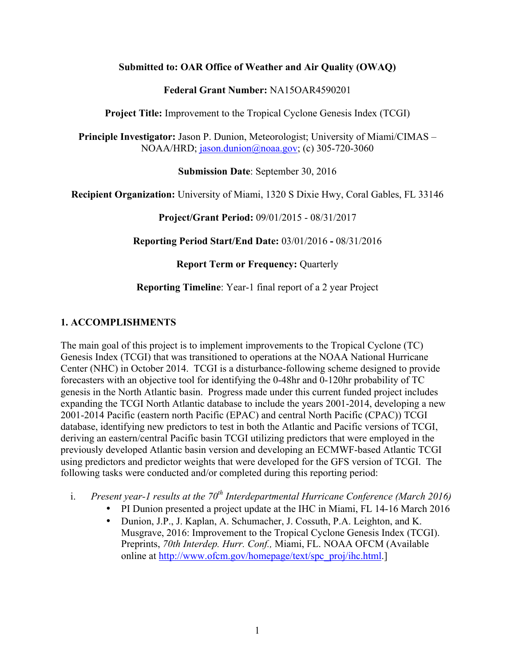### **Submitted to: OAR Office of Weather and Air Quality (OWAQ)**

### **Federal Grant Number:** NA15OAR4590201

**Project Title:** Improvement to the Tropical Cyclone Genesis Index (TCGI)

**Principle Investigator:** Jason P. Dunion, Meteorologist; University of Miami/CIMAS – NOAA/HRD; jason.dunion@noaa.gov; (c) 305-720-3060

**Submission Date**: September 30, 2016

**Recipient Organization:** University of Miami, 1320 S Dixie Hwy, Coral Gables, FL 33146

**Project/Grant Period:** 09/01/2015 - 08/31/2017

**Reporting Period Start/End Date:** 03/01/2016 **-** 08/31/2016

**Report Term or Frequency: Quarterly** 

### **Reporting Timeline**: Year-1 final report of a 2 year Project

# **1. ACCOMPLISHMENTS**

The main goal of this project is to implement improvements to the Tropical Cyclone (TC) Genesis Index (TCGI) that was transitioned to operations at the NOAA National Hurricane Center (NHC) in October 2014. TCGI is a disturbance-following scheme designed to provide forecasters with an objective tool for identifying the 0-48hr and 0-120hr probability of TC genesis in the North Atlantic basin. Progress made under this current funded project includes expanding the TCGI North Atlantic database to include the years 2001-2014, developing a new 2001-2014 Pacific (eastern north Pacific (EPAC) and central North Pacific (CPAC)) TCGI database, identifying new predictors to test in both the Atlantic and Pacific versions of TCGI, deriving an eastern/central Pacific basin TCGI utilizing predictors that were employed in the previously developed Atlantic basin version and developing an ECMWF-based Atlantic TCGI using predictors and predictor weights that were developed for the GFS version of TCGI. The following tasks were conducted and/or completed during this reporting period:

- i. *Present year-1 results at the 70th Interdepartmental Hurricane Conference (March 2016)*
	- PI Dunion presented a project update at the IHC in Miami, FL 14-16 March 2016
	- Dunion, J.P., J. Kaplan, A. Schumacher, J. Cossuth, P.A. Leighton, and K. Musgrave, 2016: Improvement to the Tropical Cyclone Genesis Index (TCGI). Preprints, *70th Interdep. Hurr. Conf.,* Miami, FL. NOAA OFCM (Available online at http://www.ofcm.gov/homepage/text/spc\_proj/ihc.html.]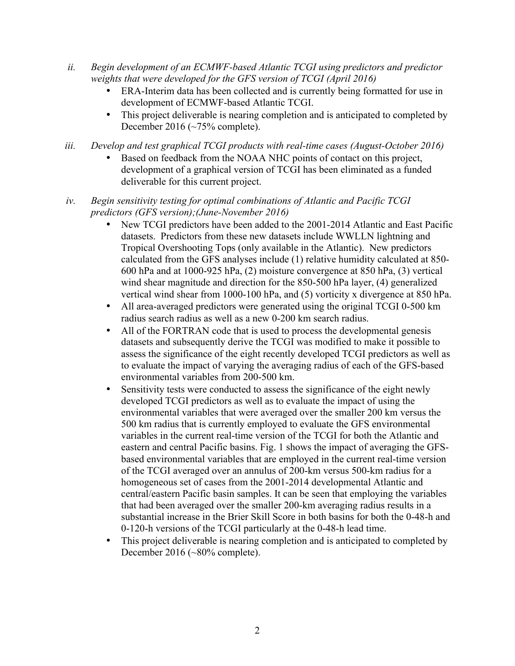- *ii. Begin development of an ECMWF-based Atlantic TCGI using predictors and predictor weights that were developed for the GFS version of TCGI (April 2016)*
	- ERA-Interim data has been collected and is currently being formatted for use in development of ECMWF-based Atlantic TCGI.
	- This project deliverable is nearing completion and is anticipated to completed by December 2016 (~75% complete).
- *iii. Develop and test graphical TCGI products with real-time cases (August-October 2016)*
	- Based on feedback from the NOAA NHC points of contact on this project, development of a graphical version of TCGI has been eliminated as a funded deliverable for this current project.
- *iv. Begin sensitivity testing for optimal combinations of Atlantic and Pacific TCGI predictors (GFS version);(June-November 2016)* 
	- New TCGI predictors have been added to the 2001-2014 Atlantic and East Pacific datasets. Predictors from these new datasets include WWLLN lightning and Tropical Overshooting Tops (only available in the Atlantic). New predictors calculated from the GFS analyses include (1) relative humidity calculated at 850- 600 hPa and at 1000-925 hPa, (2) moisture convergence at 850 hPa, (3) vertical wind shear magnitude and direction for the 850-500 hPa layer, (4) generalized vertical wind shear from 1000-100 hPa, and (5) vorticity x divergence at 850 hPa.
	- All area-averaged predictors were generated using the original TCGI 0-500 km radius search radius as well as a new 0-200 km search radius.
	- All of the FORTRAN code that is used to process the developmental genesis datasets and subsequently derive the TCGI was modified to make it possible to assess the significance of the eight recently developed TCGI predictors as well as to evaluate the impact of varying the averaging radius of each of the GFS-based environmental variables from 200-500 km.
	- Sensitivity tests were conducted to assess the significance of the eight newly developed TCGI predictors as well as to evaluate the impact of using the environmental variables that were averaged over the smaller 200 km versus the 500 km radius that is currently employed to evaluate the GFS environmental variables in the current real-time version of the TCGI for both the Atlantic and eastern and central Pacific basins. Fig. 1 shows the impact of averaging the GFSbased environmental variables that are employed in the current real-time version of the TCGI averaged over an annulus of 200-km versus 500-km radius for a homogeneous set of cases from the 2001-2014 developmental Atlantic and central/eastern Pacific basin samples. It can be seen that employing the variables that had been averaged over the smaller 200-km averaging radius results in a substantial increase in the Brier Skill Score in both basins for both the 0-48-h and 0-120-h versions of the TCGI particularly at the 0-48-h lead time.
	- This project deliverable is nearing completion and is anticipated to completed by December 2016 (~80% complete).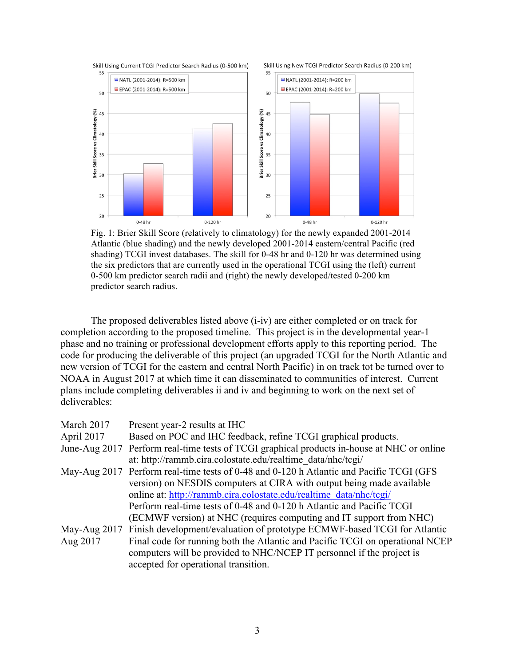

Fig. 1: Brier Skill Score (relatively to climatology) for the newly expanded 2001-2014 Atlantic (blue shading) and the newly developed 2001-2014 eastern/central Pacific (red shading) TCGI invest databases. The skill for 0-48 hr and 0-120 hr was determined using the six predictors that are currently used in the operational TCGI using the (left) current 0-500 km predictor search radii and (right) the newly developed/tested 0-200 km predictor search radius.

The proposed deliverables listed above (i-iv) are either completed or on track for completion according to the proposed timeline. This project is in the developmental year-1 phase and no training or professional development efforts apply to this reporting period. The code for producing the deliverable of this project (an upgraded TCGI for the North Atlantic and new version of TCGI for the eastern and central North Pacific) in on track tot be turned over to NOAA in August 2017 at which time it can disseminated to communities of interest. Current plans include completing deliverables ii and iv and beginning to work on the next set of deliverables:

| March 2017    | Present year-2 results at IHC                                                           |
|---------------|-----------------------------------------------------------------------------------------|
| April 2017    | Based on POC and IHC feedback, refine TCGI graphical products.                          |
| June-Aug 2017 | Perform real-time tests of TCGI graphical products in-house at NHC or online            |
|               | at: http://rammb.cira.colostate.edu/realtime data/nhc/tcgi/                             |
|               | May-Aug 2017 Perform real-time tests of 0-48 and 0-120 h Atlantic and Pacific TCGI (GFS |
|               | version) on NESDIS computers at CIRA with output being made available                   |
|               | online at: http://rammb.cira.colostate.edu/realtime data/nhc/tcgi/                      |
|               | Perform real-time tests of 0-48 and 0-120 h Atlantic and Pacific TCGI                   |
|               | (ECMWF version) at NHC (requires computing and IT support from NHC)                     |
|               | May-Aug 2017 Finish development/evaluation of prototype ECMWF-based TCGI for Atlantic   |
| Aug 2017      | Final code for running both the Atlantic and Pacific TCGI on operational NCEP           |
|               | computers will be provided to NHC/NCEP IT personnel if the project is                   |
|               | accepted for operational transition.                                                    |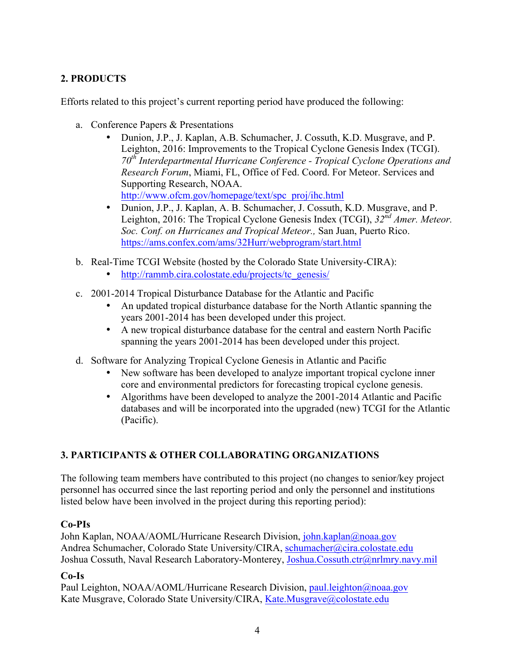# **2. PRODUCTS**

Efforts related to this project's current reporting period have produced the following:

- a. Conference Papers & Presentations
	- Dunion, J.P., J. Kaplan, A.B. Schumacher, J. Cossuth, K.D. Musgrave, and P. Leighton, 2016: Improvements to the Tropical Cyclone Genesis Index (TCGI). *70th Interdepartmental Hurricane Conference - Tropical Cyclone Operations and Research Forum*, Miami, FL, Office of Fed. Coord. For Meteor. Services and Supporting Research, NOAA. http://www.ofcm.gov/homepage/text/spc\_proj/ihc.html
	- Dunion, J.P., J. Kaplan, A. B. Schumacher, J. Cossuth, K.D. Musgrave, and P. Leighton, 2016: The Tropical Cyclone Genesis Index (TCGI),  $32^{\bar{n}d}$  *Amer. Meteor. Soc. Conf. on Hurricanes and Tropical Meteor.,* San Juan, Puerto Rico. https://ams.confex.com/ams/32Hurr/webprogram/start.html
- b. Real-Time TCGI Website (hosted by the Colorado State University-CIRA):
	- http://rammb.cira.colostate.edu/projects/tc\_genesis/
- c. 2001-2014 Tropical Disturbance Database for the Atlantic and Pacific
	- An updated tropical disturbance database for the North Atlantic spanning the years 2001-2014 has been developed under this project.
	- A new tropical disturbance database for the central and eastern North Pacific spanning the years 2001-2014 has been developed under this project.
- d. Software for Analyzing Tropical Cyclone Genesis in Atlantic and Pacific
	- New software has been developed to analyze important tropical cyclone inner core and environmental predictors for forecasting tropical cyclone genesis.
	- Algorithms have been developed to analyze the 2001-2014 Atlantic and Pacific databases and will be incorporated into the upgraded (new) TCGI for the Atlantic (Pacific).

# **3. PARTICIPANTS & OTHER COLLABORATING ORGANIZATIONS**

The following team members have contributed to this project (no changes to senior/key project personnel has occurred since the last reporting period and only the personnel and institutions listed below have been involved in the project during this reporting period):

### **Co-PIs**

John Kaplan, NOAA/AOML/Hurricane Research Division, john.kaplan@noaa.gov Andrea Schumacher, Colorado State University/CIRA, schumacher@cira.colostate.edu Joshua Cossuth, Naval Research Laboratory-Monterey, Joshua.Cossuth.ctr@nrlmry.navy.mil

# **Co-Is**

Paul Leighton, NOAA/AOML/Hurricane Research Division, paul.leighton@noaa.gov Kate Musgrave, Colorado State University/CIRA, Kate.Musgrave@colostate.edu